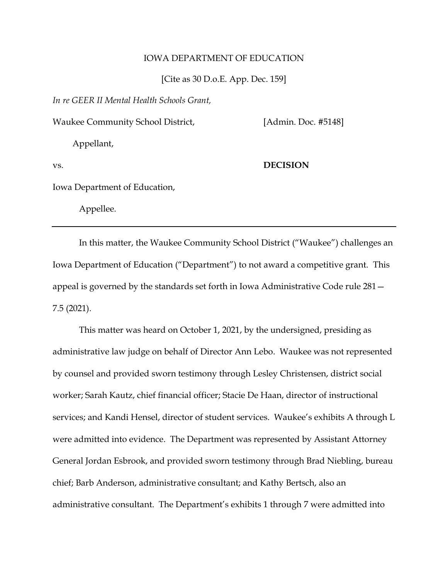## IOWA DEPARTMENT OF EDUCATION

[Cite as 30 D.o.E. App. Dec. 159]

*In re GEER II Mental Health Schools Grant,*

Waukee Community School District, [Admin. Doc. #5148]

Appellant,

# vs. **DECISION**

Iowa Department of Education,

Appellee.

In this matter, the Waukee Community School District ("Waukee") challenges an Iowa Department of Education ("Department") to not award a competitive grant. This appeal is governed by the standards set forth in Iowa Administrative Code rule 281— 7.5 (2021).

This matter was heard on October 1, 2021, by the undersigned, presiding as administrative law judge on behalf of Director Ann Lebo. Waukee was not represented by counsel and provided sworn testimony through Lesley Christensen, district social worker; Sarah Kautz, chief financial officer; Stacie De Haan, director of instructional services; and Kandi Hensel, director of student services. Waukee's exhibits A through L were admitted into evidence. The Department was represented by Assistant Attorney General Jordan Esbrook, and provided sworn testimony through Brad Niebling, bureau chief; Barb Anderson, administrative consultant; and Kathy Bertsch, also an administrative consultant. The Department's exhibits 1 through 7 were admitted into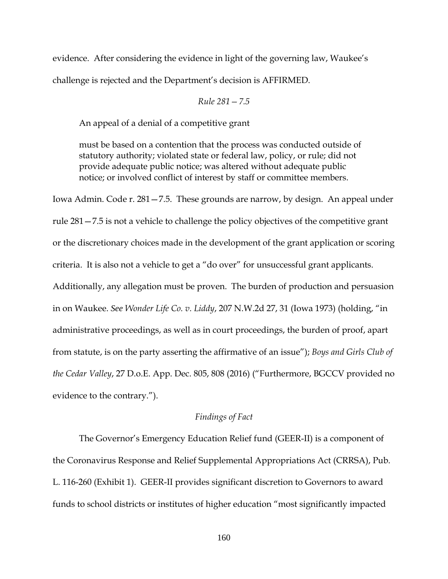evidence. After considering the evidence in light of the governing law, Waukee's challenge is rejected and the Department's decision is AFFIRMED.

$$
Rule\ 281-7.5
$$

An appeal of a denial of a competitive grant

must be based on a contention that the process was conducted outside of statutory authority; violated state or federal law, policy, or rule; did not provide adequate public notice; was altered without adequate public notice; or involved conflict of interest by staff or committee members.

Iowa Admin. Code r. 281—7.5. These grounds are narrow, by design. An appeal under rule 281—7.5 is not a vehicle to challenge the policy objectives of the competitive grant or the discretionary choices made in the development of the grant application or scoring criteria. It is also not a vehicle to get a "do over" for unsuccessful grant applicants. Additionally, any allegation must be proven. The burden of production and persuasion in on Waukee. *See Wonder Life Co. v. Liddy*, 207 N.W.2d 27, 31 (Iowa 1973) (holding, "in administrative proceedings, as well as in court proceedings, the burden of proof, apart from statute, is on the party asserting the affirmative of an issue"); *Boys and Girls Club of the Cedar Valley*, 27 D.o.E. App. Dec. 805, 808 (2016) ("Furthermore, BGCCV provided no evidence to the contrary.").

## *Findings of Fact*

The Governor's Emergency Education Relief fund (GEER-II) is a component of the Coronavirus Response and Relief Supplemental Appropriations Act (CRRSA), Pub. L. 116-260 (Exhibit 1). GEER-II provides significant discretion to Governors to award funds to school districts or institutes of higher education "most significantly impacted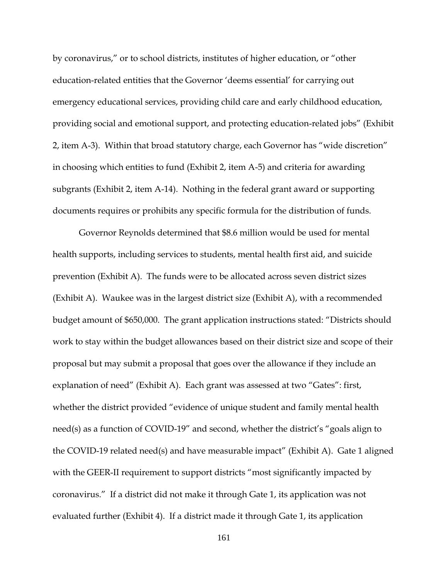by coronavirus," or to school districts, institutes of higher education, or "other education-related entities that the Governor 'deems essential' for carrying out emergency educational services, providing child care and early childhood education, providing social and emotional support, and protecting education-related jobs" (Exhibit 2, item A-3). Within that broad statutory charge, each Governor has "wide discretion" in choosing which entities to fund (Exhibit 2, item A-5) and criteria for awarding subgrants (Exhibit 2, item A-14). Nothing in the federal grant award or supporting documents requires or prohibits any specific formula for the distribution of funds.

Governor Reynolds determined that \$8.6 million would be used for mental health supports, including services to students, mental health first aid, and suicide prevention (Exhibit A). The funds were to be allocated across seven district sizes (Exhibit A). Waukee was in the largest district size (Exhibit A), with a recommended budget amount of \$650,000. The grant application instructions stated: "Districts should work to stay within the budget allowances based on their district size and scope of their proposal but may submit a proposal that goes over the allowance if they include an explanation of need" (Exhibit A). Each grant was assessed at two "Gates": first, whether the district provided "evidence of unique student and family mental health need(s) as a function of COVID-19" and second, whether the district's "goals align to the COVID-19 related need(s) and have measurable impact" (Exhibit A). Gate 1 aligned with the GEER-II requirement to support districts "most significantly impacted by coronavirus." If a district did not make it through Gate 1, its application was not evaluated further (Exhibit 4). If a district made it through Gate 1, its application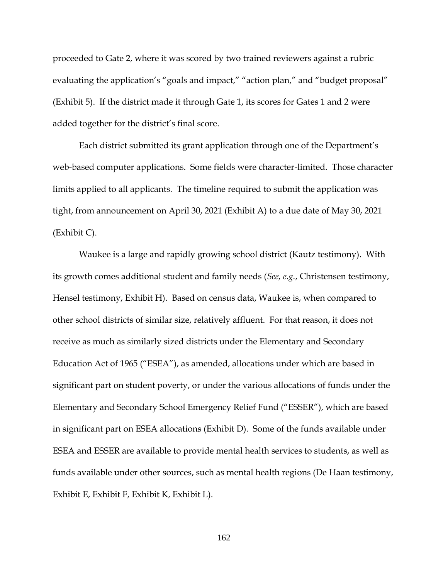proceeded to Gate 2, where it was scored by two trained reviewers against a rubric evaluating the application's "goals and impact," "action plan," and "budget proposal" (Exhibit 5). If the district made it through Gate 1, its scores for Gates 1 and 2 were added together for the district's final score.

Each district submitted its grant application through one of the Department's web-based computer applications. Some fields were character-limited. Those character limits applied to all applicants. The timeline required to submit the application was tight, from announcement on April 30, 2021 (Exhibit A) to a due date of May 30, 2021 (Exhibit C).

Waukee is a large and rapidly growing school district (Kautz testimony). With its growth comes additional student and family needs (*See, e.g.*, Christensen testimony, Hensel testimony, Exhibit H). Based on census data, Waukee is, when compared to other school districts of similar size, relatively affluent. For that reason, it does not receive as much as similarly sized districts under the Elementary and Secondary Education Act of 1965 ("ESEA"), as amended, allocations under which are based in significant part on student poverty, or under the various allocations of funds under the Elementary and Secondary School Emergency Relief Fund ("ESSER"), which are based in significant part on ESEA allocations (Exhibit D). Some of the funds available under ESEA and ESSER are available to provide mental health services to students, as well as funds available under other sources, such as mental health regions (De Haan testimony, Exhibit E, Exhibit F, Exhibit K, Exhibit L).

162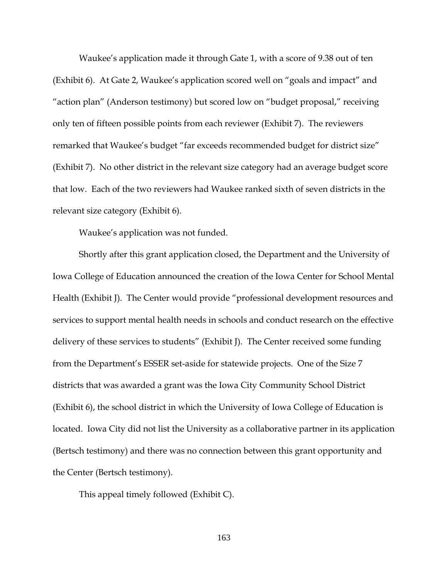Waukee's application made it through Gate 1, with a score of 9.38 out of ten (Exhibit 6). At Gate 2, Waukee's application scored well on "goals and impact" and "action plan" (Anderson testimony) but scored low on "budget proposal," receiving only ten of fifteen possible points from each reviewer (Exhibit 7). The reviewers remarked that Waukee's budget "far exceeds recommended budget for district size" (Exhibit 7). No other district in the relevant size category had an average budget score that low. Each of the two reviewers had Waukee ranked sixth of seven districts in the relevant size category (Exhibit 6).

Waukee's application was not funded.

Shortly after this grant application closed, the Department and the University of Iowa College of Education announced the creation of the Iowa Center for School Mental Health (Exhibit J). The Center would provide "professional development resources and services to support mental health needs in schools and conduct research on the effective delivery of these services to students" (Exhibit J). The Center received some funding from the Department's ESSER set-aside for statewide projects. One of the Size 7 districts that was awarded a grant was the Iowa City Community School District (Exhibit 6), the school district in which the University of Iowa College of Education is located. Iowa City did not list the University as a collaborative partner in its application (Bertsch testimony) and there was no connection between this grant opportunity and the Center (Bertsch testimony).

This appeal timely followed (Exhibit C).

163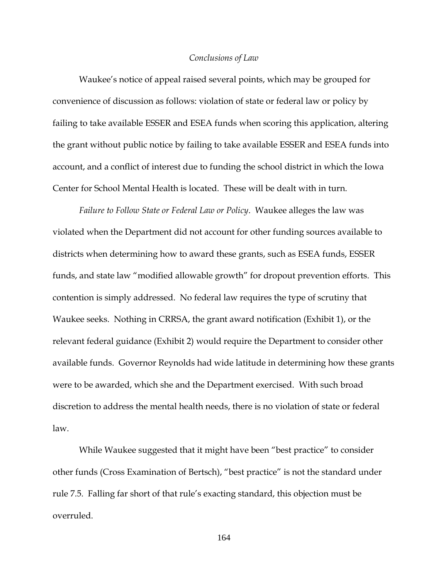#### *Conclusions of Law*

Waukee's notice of appeal raised several points, which may be grouped for convenience of discussion as follows: violation of state or federal law or policy by failing to take available ESSER and ESEA funds when scoring this application, altering the grant without public notice by failing to take available ESSER and ESEA funds into account, and a conflict of interest due to funding the school district in which the Iowa Center for School Mental Health is located. These will be dealt with in turn.

*Failure to Follow State or Federal Law or Policy*. Waukee alleges the law was violated when the Department did not account for other funding sources available to districts when determining how to award these grants, such as ESEA funds, ESSER funds, and state law "modified allowable growth" for dropout prevention efforts. This contention is simply addressed. No federal law requires the type of scrutiny that Waukee seeks. Nothing in CRRSA, the grant award notification (Exhibit 1), or the relevant federal guidance (Exhibit 2) would require the Department to consider other available funds. Governor Reynolds had wide latitude in determining how these grants were to be awarded, which she and the Department exercised. With such broad discretion to address the mental health needs, there is no violation of state or federal law.

While Waukee suggested that it might have been "best practice" to consider other funds (Cross Examination of Bertsch), "best practice" is not the standard under rule 7.5. Falling far short of that rule's exacting standard, this objection must be overruled.

164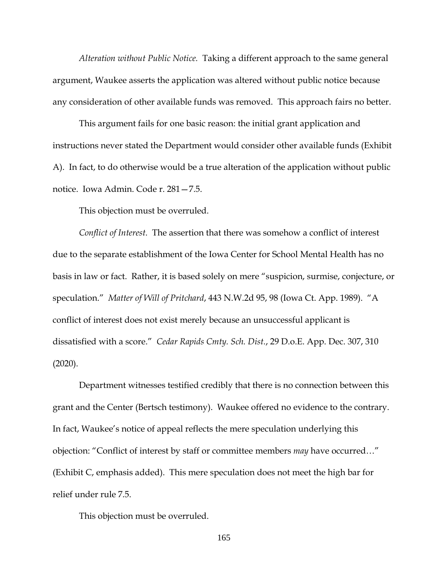*Alteration without Public Notice.* Taking a different approach to the same general argument, Waukee asserts the application was altered without public notice because any consideration of other available funds was removed. This approach fairs no better.

This argument fails for one basic reason: the initial grant application and instructions never stated the Department would consider other available funds (Exhibit A). In fact, to do otherwise would be a true alteration of the application without public notice. Iowa Admin. Code r. 281—7.5.

This objection must be overruled.

*Conflict of Interest.* The assertion that there was somehow a conflict of interest due to the separate establishment of the Iowa Center for School Mental Health has no basis in law or fact. Rather, it is based solely on mere "suspicion, surmise, conjecture, or speculation." *Matter of Will of Pritchard*, 443 N.W.2d 95, 98 (Iowa Ct. App. 1989). "A conflict of interest does not exist merely because an unsuccessful applicant is dissatisfied with a score." *Cedar Rapids Cmty. Sch. Dist.*, 29 D.o.E. App. Dec. 307, 310 (2020).

Department witnesses testified credibly that there is no connection between this grant and the Center (Bertsch testimony). Waukee offered no evidence to the contrary. In fact, Waukee's notice of appeal reflects the mere speculation underlying this objection: "Conflict of interest by staff or committee members *may* have occurred…" (Exhibit C, emphasis added). This mere speculation does not meet the high bar for relief under rule 7.5.

This objection must be overruled.